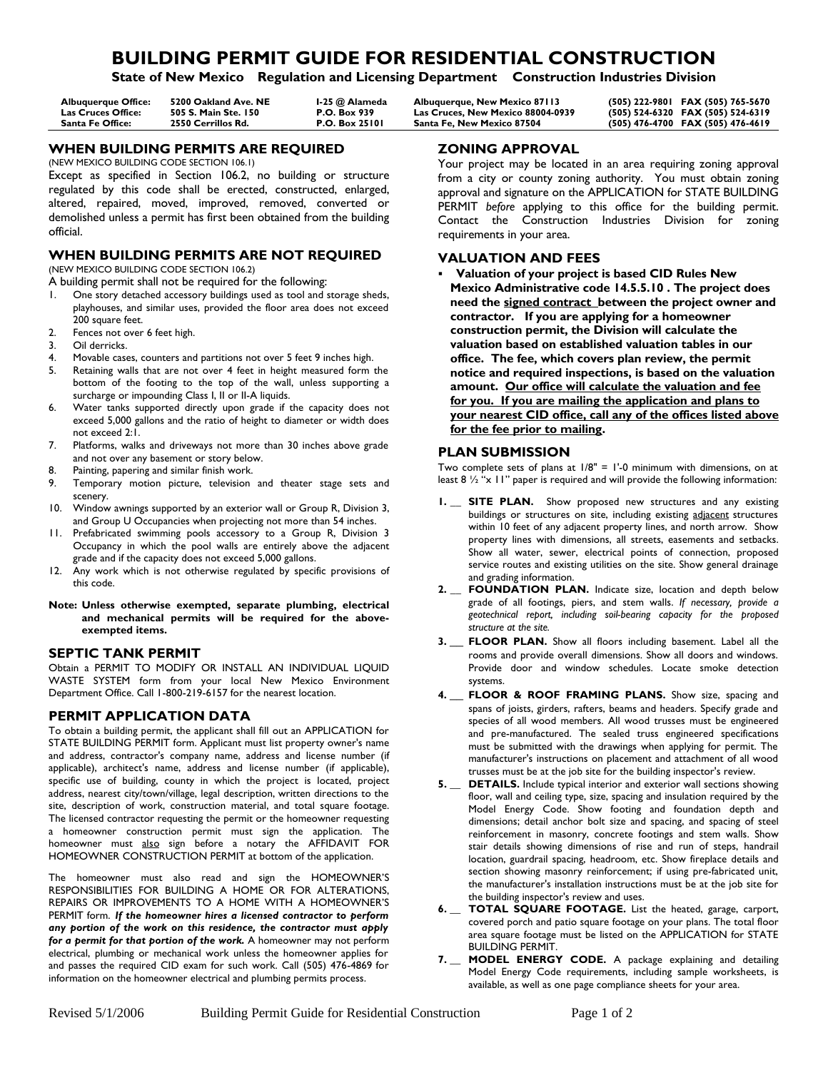# **BUILDING PERMIT GUIDE FOR RESIDENTIAL CONSTRUCTION**

**State of New Mexico Regulation and Licensing Department Construction Industries Division**

| <b>Albuaueraue Office:</b> | 5200 Oakland Ave. NE | 1-25 @ Alameda        | Albuquerque, New Mexico 87113            | (505) 222-9801 FAX (505) 765-5670 |
|----------------------------|----------------------|-----------------------|------------------------------------------|-----------------------------------|
| Las Cruces Office:         | 505 S. Main Ste. 150 | <b>P.O. Box 939</b>   | <b>Las Cruces. New Mexico 88004-0939</b> | (505) 524-6320 FAX (505) 524-6319 |
| Santa Fe Office:           | 2550 Cerrillos Rd.   | <b>P.O. Box 25101</b> | Santa Fe. New Mexico 87504               | (505) 476-4700 FAX (505) 476-4619 |

## **WHEN BUILDING PERMITS ARE REQUIRED**

(NEW MEXICO BUILDING CODE SECTION 106.1)

Except as specified in Section 106.2, no building or structure regulated by this code shall be erected, constructed, enlarged, altered, repaired, moved, improved, removed, converted or demolished unless a permit has first been obtained from the building official.

# **WHEN BUILDING PERMITS ARE NOT REQUIRED**

(NEW MEXICO BUILDING CODE SECTION 106.2)

A building permit shall not be required for the following:

- One story detached accessory buildings used as tool and storage sheds, playhouses, and similar uses, provided the floor area does not exceed 200 square feet.
- 2. Fences not over 6 feet high.
- 3. Oil derricks.<br>4 Movable case
- Movable cases, counters and partitions not over 5 feet 9 inches high.
- 5. Retaining walls that are not over 4 feet in height measured form the bottom of the footing to the top of the wall, unless supporting a surcharge or impounding Class I, II or II-A liquids.
- 6. Water tanks supported directly upon grade if the capacity does not exceed 5,000 gallons and the ratio of height to diameter or width does not exceed 2:1.
- 7. Platforms, walks and driveways not more than 30 inches above grade and not over any basement or story below.
- 8. Painting, papering and similar finish work.
- 9. Temporary motion picture, television and theater stage sets and scenery.
- 10. Window awnings supported by an exterior wall or Group R, Division 3, and Group U Occupancies when projecting not more than 54 inches.
- 11. Prefabricated swimming pools accessory to a Group R, Division 3 Occupancy in which the pool walls are entirely above the adjacent grade and if the capacity does not exceed 5,000 gallons.
- 12. Any work which is not otherwise regulated by specific provisions of this code.

#### **Note: Unless otherwise exempted, separate plumbing, electrical and mechanical permits will be required for the aboveexempted items.**

### **SEPTIC TANK PERMIT**

Obtain a PERMIT TO MODIFY OR INSTALL AN INDIVIDUAL LIQUID WASTE SYSTEM form from your local New Mexico Environment Department Office. Call 1-800-219-6157 for the nearest location.

### **PERMIT APPLICATION DATA**

To obtain a building permit, the applicant shall fill out an APPLICATION for STATE BUILDING PERMIT form. Applicant must list property owner's name and address, contractor's company name, address and license number (if applicable), architect's name, address and license number (if applicable), specific use of building, county in which the project is located, project address, nearest city/town/village, legal description, written directions to the site, description of work, construction material, and total square footage. The licensed contractor requesting the permit or the homeowner requesting a homeowner construction permit must sign the application. The homeowner must also sign before a notary the AFFIDAVIT FOR HOMEOWNER CONSTRUCTION PERMIT at bottom of the application.

The homeowner must also read and sign the HOMEOWNER'S RESPONSIBILITIES FOR BUILDING A HOME OR FOR ALTERATIONS, REPAIRS OR IMPROVEMENTS TO A HOME WITH A HOMEOWNER'S PERMIT form. *If the homeowner hires a licensed contractor to perform any portion of the work on this residence, the contractor must apply for a permit for that portion of the work.* A homeowner may not perform electrical, plumbing or mechanical work unless the homeowner applies for and passes the required CID exam for such work. Call (505) 476-4869 for information on the homeowner electrical and plumbing permits process.

## **ZONING APPROVAL**

Your project may be located in an area requiring zoning approval from a city or county zoning authority. You must obtain zoning approval and signature on the APPLICATION for STATE BUILDING PERMIT *before* applying to this office for the building permit. Contact the Construction Industries Division for zoning requirements in your area.

### **VALUATION AND FEES**

ß **Valuation of your project is based CID Rules New Mexico Administrative code 14.5.5.10 . The project does need the signed contract between the project owner and contractor. If you are applying for a homeowner construction permit, the Division will calculate the valuation based on established valuation tables in our office. The fee, which covers plan review, the permit notice and required inspections, is based on the valuation amount. Our office will calculate the valuation and fee for you. If you are mailing the application and plans to your nearest CID office, call any of the offices listed above for the fee prior to mailing.** 

### **PLAN SUBMISSION**

Two complete sets of plans at  $1/8$ " = 1'-0 minimum with dimensions, on at least 8 ½ "x 11" paper is required and will provide the following information:

- **1.** SITE PLAN. Show proposed new structures and any existing buildings or structures on site, including existing adjacent structures within 10 feet of any adjacent property lines, and north arrow. Show property lines with dimensions, all streets, easements and setbacks. Show all water, sewer, electrical points of connection, proposed service routes and existing utilities on the site. Show general drainage and grading information.
- **2. \_\_ FOUNDATION PLAN.** Indicate size, location and depth below grade of all footings, piers, and stem walls. *If necessary, provide a geotechnical report, including soil-bearing capacity for the proposed structure at the site.*
- **3. FLOOR PLAN.** Show all floors including basement. Label all the rooms and provide overall dimensions. Show all doors and windows. Provide door and window schedules. Locate smoke detection systems.
- **4. \_\_ FLOOR & ROOF FRAMING PLANS.** Show size, spacing and spans of joists, girders, rafters, beams and headers. Specify grade and species of all wood members. All wood trusses must be engineered and pre-manufactured. The sealed truss engineered specifications must be submitted with the drawings when applying for permit. The manufacturer's instructions on placement and attachment of all wood trusses must be at the job site for the building inspector's review.
- **5. \_\_ DETAILS.** Include typical interior and exterior wall sections showing floor, wall and ceiling type, size, spacing and insulation required by the Model Energy Code. Show footing and foundation depth and dimensions; detail anchor bolt size and spacing, and spacing of steel reinforcement in masonry, concrete footings and stem walls. Show stair details showing dimensions of rise and run of steps, handrail location, guardrail spacing, headroom, etc. Show fireplace details and section showing masonry reinforcement; if using pre-fabricated unit, the manufacturer's installation instructions must be at the job site for the building inspector's review and uses.
- **6. \_\_ TOTAL SQUARE FOOTAGE.** List the heated, garage, carport, covered porch and patio square footage on your plans. The total floor area square footage must be listed on the APPLICATION for STATE BUILDING PERMIT.
- **7. \_\_ MODEL ENERGY CODE.** A package explaining and detailing Model Energy Code requirements, including sample worksheets, is available, as well as one page compliance sheets for your area.